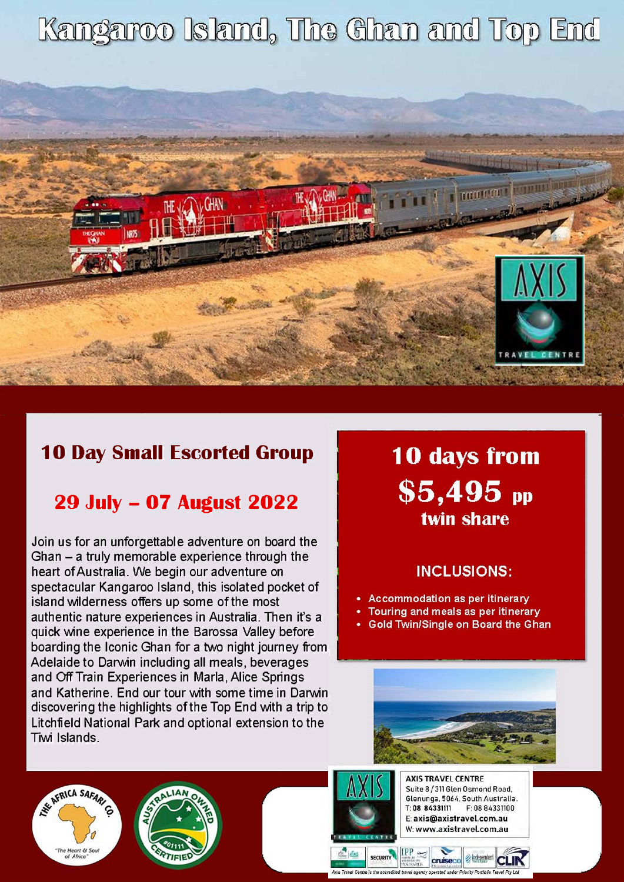# Kangaroo Island, The Ghan and Top End



### **10 Day Small Escorted Group**

## **29 July - 07 August 2022**

Join us for an unforgettable adventure on board the Ghan  $-$  a truly memorable experience through the heart of Australia. We begin our adventure on spectacular Kangaroo Island, this isolated pocket of island wilderness offers up some of the most authentic nature experiences in Australia. Then it's a quick wine experience in the Barossa Valley before boarding the Iconic Ghan for a two night journey from Adelaide to Darwin including all meals, beverages and Off Train Experiences in Marla, Alice Springs and Katherine. End our tour with some time in Darwin discovering the highlights of the Top End with a trip to Litchfield National Park and optional extension to the Tiwi Islands.

**10 days from**  $$5,495$ <sub>pp</sub> twin share

### **INCLUSIONS:**

- Accommodation as per itinerary
- Touring and meals as per itinerary
- Gold Twin/Single on Board the Ghan



NE AFRICA SAFAR The Heart & Se





**AXIS TRAVEL CENTRE** Suite 8 / 311 Glen Osmond Road, Glenunga, 5064, South Australia. T:08 84331111 F: 08 84331100 E: axis@axistravel.com.au W: www.axistravel.com.au

rity Portfolio Travel Pty Ltd.